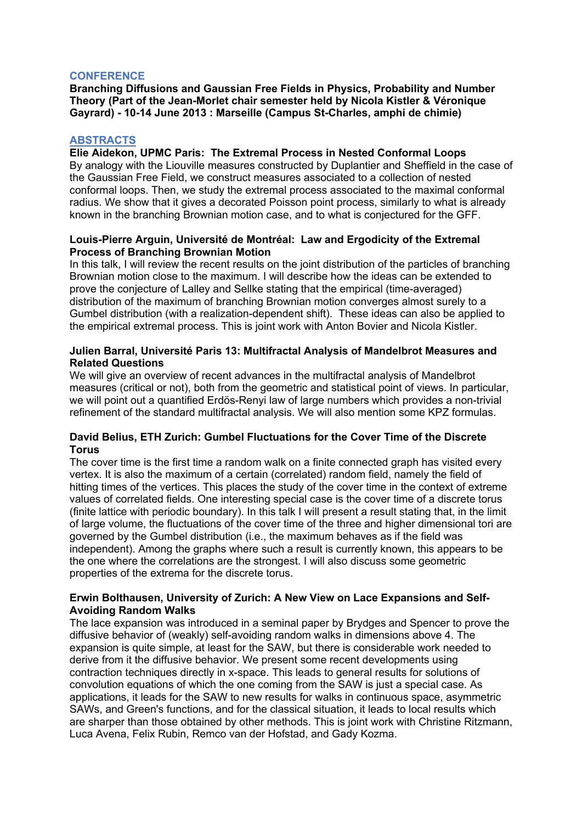## **CONFERENCE**

**Branching Diffusions and Gaussian Free Fields in Physics, Probability and Number Theory (Part of the Jean-Morlet chair semester held by Nicola Kistler & Véronique Gayrard) - 10-14 June 2013 : Marseille (Campus St-Charles, amphi de chimie)**

### **ABSTRACTS**

#### **Elie Aidekon, UPMC Paris: The Extremal Process in Nested Conformal Loops** By analogy with the Liouville measures constructed by Duplantier and Sheffield in the case of

the Gaussian Free Field, we construct measures associated to a collection of nested conformal loops. Then, we study the extremal process associated to the maximal conformal radius. We show that it gives a decorated Poisson point process, similarly to what is already known in the branching Brownian motion case, and to what is conjectured for the GFF.

## **Louis-Pierre Arguin, Université de Montréal: Law and Ergodicity of the Extremal Process of Branching Brownian Motion**

In this talk, I will review the recent results on the joint distribution of the particles of branching Brownian motion close to the maximum. I will describe how the ideas can be extended to prove the conjecture of Lalley and Sellke stating that the empirical (time-averaged) distribution of the maximum of branching Brownian motion converges almost surely to a Gumbel distribution (with a realization-dependent shift). These ideas can also be applied to the empirical extremal process. This is joint work with Anton Bovier and Nicola Kistler.

## **Julien Barral, Université Paris 13: Multifractal Analysis of Mandelbrot Measures and Related Questions**

We will give an overview of recent advances in the multifractal analysis of Mandelbrot measures (critical or not), both from the geometric and statistical point of views. In particular, we will point out a quantified Erdös-Renyi law of large numbers which provides a non-trivial refinement of the standard multifractal analysis. We will also mention some KPZ formulas.

## **David Belius, ETH Zurich: Gumbel Fluctuations for the Cover Time of the Discrete Torus**

The cover time is the first time a random walk on a finite connected graph has visited every vertex. It is also the maximum of a certain (correlated) random field, namely the field of hitting times of the vertices. This places the study of the cover time in the context of extreme values of correlated fields. One interesting special case is the cover time of a discrete torus (finite lattice with periodic boundary). In this talk I will present a result stating that, in the limit of large volume, the fluctuations of the cover time of the three and higher dimensional tori are governed by the Gumbel distribution (i.e., the maximum behaves as if the field was independent). Among the graphs where such a result is currently known, this appears to be the one where the correlations are the strongest. I will also discuss some geometric properties of the extrema for the discrete torus.

### **Erwin Bolthausen, University of Zurich: A New View on Lace Expansions and Self-Avoiding Random Walks**

The lace expansion was introduced in a seminal paper by Brydges and Spencer to prove the diffusive behavior of (weakly) self-avoiding random walks in dimensions above 4. The expansion is quite simple, at least for the SAW, but there is considerable work needed to derive from it the diffusive behavior. We present some recent developments using contraction techniques directly in x-space. This leads to general results for solutions of convolution equations of which the one coming from the SAW is just a special case. As applications, it leads for the SAW to new results for walks in continuous space, asymmetric SAWs, and Green's functions, and for the classical situation, it leads to local results which are sharper than those obtained by other methods. This is joint work with Christine Ritzmann, Luca Avena, Felix Rubin, Remco van der Hofstad, and Gady Kozma.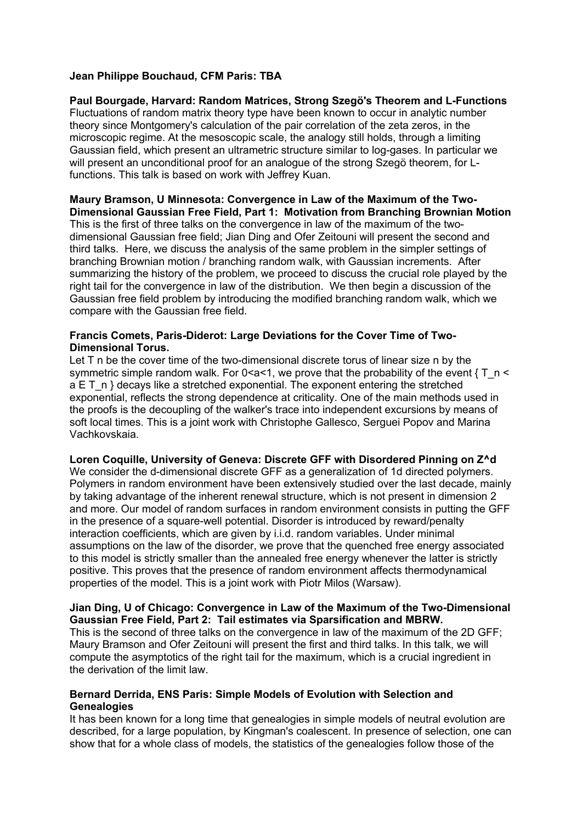## **Jean Philippe Bouchaud, CFM Paris: TBA**

**Paul Bourgade, Harvard: Random Matrices, Strong Szegö's Theorem and L-Functions** Fluctuations of random matrix theory type have been known to occur in analytic number theory since Montgomery's calculation of the pair correlation of the zeta zeros, in the microscopic regime. At the mesoscopic scale, the analogy still holds, through a limiting Gaussian field, which present an ultrametric structure similar to log-gases. In particular we will present an unconditional proof for an analogue of the strong Szegö theorem, for Lfunctions. This talk is based on work with Jeffrey Kuan.

## **Maury Bramson, U Minnesota: Convergence in Law of the Maximum of the Two-Dimensional Gaussian Free Field, Part 1: Motivation from Branching Brownian Motion**

This is the first of three talks on the convergence in law of the maximum of the twodimensional Gaussian free field; Jian Ding and Ofer Zeitouni will present the second and third talks. Here, we discuss the analysis of the same problem in the simpler settings of branching Brownian motion / branching random walk, with Gaussian increments. After summarizing the history of the problem, we proceed to discuss the crucial role played by the right tail for the convergence in law of the distribution. We then begin a discussion of the Gaussian free field problem by introducing the modified branching random walk, which we compare with the Gaussian free field.

### **Francis Comets, Paris-Diderot: Large Deviations for the Cover Time of Two-Dimensional Torus.**

Let T n be the cover time of the two-dimensional discrete torus of linear size n by the symmetric simple random walk. For 0 < a < 1, we prove that the probability of the event  $\{T, n \leq T\}$ a E T\_n } decays like a stretched exponential. The exponent entering the stretched exponential, reflects the strong dependence at criticality. One of the main methods used in the proofs is the decoupling of the walker's trace into independent excursions by means of soft local times. This is a joint work with Christophe Gallesco, Serguei Popov and Marina Vachkovskaia.

#### **Loren Coquille, University of Geneva: Discrete GFF with Disordered Pinning on Z^d**

We consider the d-dimensional discrete GFF as a generalization of 1d directed polymers. Polymers in random environment have been extensively studied over the last decade, mainly by taking advantage of the inherent renewal structure, which is not present in dimension 2 and more. Our model of random surfaces in random environment consists in putting the GFF in the presence of a square-well potential. Disorder is introduced by reward/penalty interaction coefficients, which are given by i.i.d. random variables. Under minimal assumptions on the law of the disorder, we prove that the quenched free energy associated to this model is strictly smaller than the annealed free energy whenever the latter is strictly positive. This proves that the presence of random environment affects thermodynamical properties of the model. This is a joint work with Piotr Milos (Warsaw).

#### **Jian Ding, U of Chicago: Convergence in Law of the Maximum of the Two-Dimensional Gaussian Free Field, Part 2: Tail estimates via Sparsification and MBRW.**

This is the second of three talks on the convergence in law of the maximum of the 2D GFF; Maury Bramson and Ofer Zeitouni will present the first and third talks. In this talk, we will compute the asymptotics of the right tail for the maximum, which is a crucial ingredient in the derivation of the limit law.

#### **Bernard Derrida, ENS Paris: Simple Models of Evolution with Selection and Genealogies**

It has been known for a long time that genealogies in simple models of neutral evolution are described, for a large population, by Kingman's coalescent. In presence of selection, one can show that for a whole class of models, the statistics of the genealogies follow those of the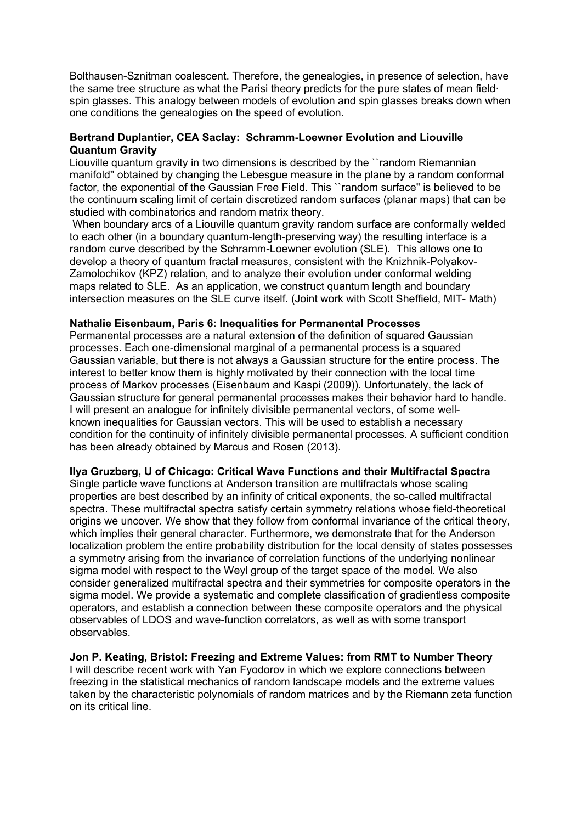Bolthausen-Sznitman coalescent. Therefore, the genealogies, in presence of selection, have the same tree structure as what the Parisi theory predicts for the pure states of mean field· spin glasses. This analogy between models of evolution and spin glasses breaks down when one conditions the genealogies on the speed of evolution.

## **Bertrand Duplantier, CEA Saclay: Schramm-Loewner Evolution and Liouville Quantum Gravity**

Liouville quantum gravity in two dimensions is described by the ``random Riemannian manifold'' obtained by changing the Lebesgue measure in the plane by a random conformal factor, the exponential of the Gaussian Free Field. This ``random surface" is believed to be the continuum scaling limit of certain discretized random surfaces (planar maps) that can be studied with combinatorics and random matrix theory.

When boundary arcs of a Liouville quantum gravity random surface are conformally welded to each other (in a boundary quantum-length-preserving way) the resulting interface is a random curve described by the Schramm-Loewner evolution (SLE). This allows one to develop a theory of quantum fractal measures, consistent with the Knizhnik-Polyakov-Zamolochikov (KPZ) relation, and to analyze their evolution under conformal welding maps related to SLE. As an application, we construct quantum length and boundary intersection measures on the SLE curve itself. (Joint work with Scott Sheffield, MIT- Math)

### **Nathalie Eisenbaum, Paris 6: Inequalities for Permanental Processes**

Permanental processes are a natural extension of the definition of squared Gaussian processes. Each one-dimensional marginal of a permanental process is a squared Gaussian variable, but there is not always a Gaussian structure for the entire process. The interest to better know them is highly motivated by their connection with the local time process of Markov processes (Eisenbaum and Kaspi (2009)). Unfortunately, the lack of Gaussian structure for general permanental processes makes their behavior hard to handle. I will present an analogue for infinitely divisible permanental vectors, of some wellknown inequalities for Gaussian vectors. This will be used to establish a necessary condition for the continuity of infinitely divisible permanental processes. A sufficient condition has been already obtained by Marcus and Rosen (2013).

#### **Ilya Gruzberg, U of Chicago: Critical Wave Functions and their Multifractal Spectra**

Single particle wave functions at Anderson transition are multifractals whose scaling properties are best described by an infinity of critical exponents, the so-called multifractal spectra. These multifractal spectra satisfy certain symmetry relations whose field-theoretical origins we uncover. We show that they follow from conformal invariance of the critical theory, which implies their general character. Furthermore, we demonstrate that for the Anderson localization problem the entire probability distribution for the local density of states possesses a symmetry arising from the invariance of correlation functions of the underlying nonlinear sigma model with respect to the Weyl group of the target space of the model. We also consider generalized multifractal spectra and their symmetries for composite operators in the sigma model. We provide a systematic and complete classification of gradientless composite operators, and establish a connection between these composite operators and the physical observables of LDOS and wave-function correlators, as well as with some transport observables.

## **Jon P. Keating, Bristol: Freezing and Extreme Values: from RMT to Number Theory**

I will describe recent work with Yan Fyodorov in which we explore connections between freezing in the statistical mechanics of random landscape models and the extreme values taken by the characteristic polynomials of random matrices and by the Riemann zeta function on its critical line.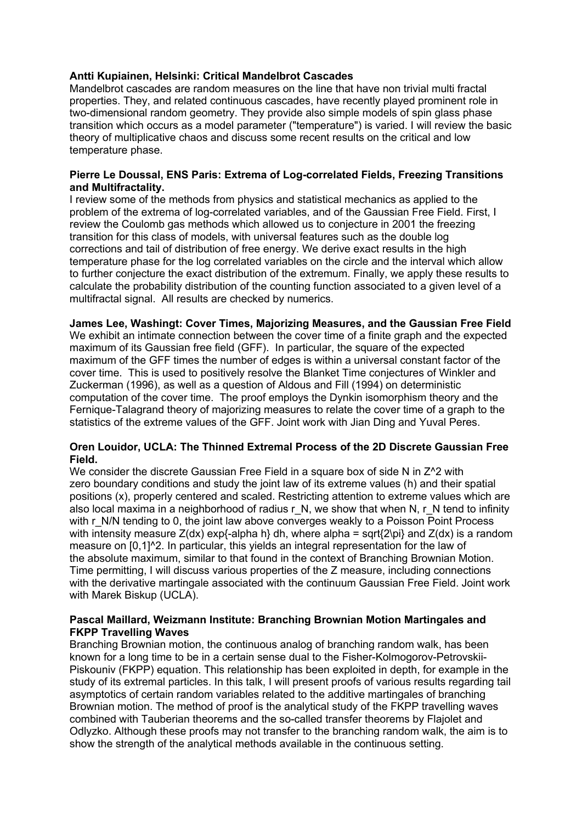## **Antti Kupiainen, Helsinki: Critical Mandelbrot Cascades**

Mandelbrot cascades are random measures on the line that have non trivial multi fractal properties. They, and related continuous cascades, have recently played prominent role in two-dimensional random geometry. They provide also simple models of spin glass phase transition which occurs as a model parameter ("temperature") is varied. I will review the basic theory of multiplicative chaos and discuss some recent results on the critical and low temperature phase.

### **Pierre Le Doussal, ENS Paris: Extrema of Log-correlated Fields, Freezing Transitions and Multifractality.**

I review some of the methods from physics and statistical mechanics as applied to the problem of the extrema of log-correlated variables, and of the Gaussian Free Field. First, I review the Coulomb gas methods which allowed us to conjecture in 2001 the freezing transition for this class of models, with universal features such as the double log corrections and tail of distribution of free energy. We derive exact results in the high temperature phase for the log correlated variables on the circle and the interval which allow to further conjecture the exact distribution of the extremum. Finally, we apply these results to calculate the probability distribution of the counting function associated to a given level of a multifractal signal. All results are checked by numerics.

#### **James Lee, Washingt: Cover Times, Majorizing Measures, and the Gaussian Free Field**

We exhibit an intimate connection between the cover time of a finite graph and the expected maximum of its Gaussian free field (GFF). In particular, the square of the expected maximum of the GFF times the number of edges is within a universal constant factor of the cover time. This is used to positively resolve the Blanket Time conjectures of Winkler and Zuckerman (1996), as well as a question of Aldous and Fill (1994) on deterministic computation of the cover time. The proof employs the Dynkin isomorphism theory and the Fernique-Talagrand theory of majorizing measures to relate the cover time of a graph to the statistics of the extreme values of the GFF. Joint work with Jian Ding and Yuval Peres.

## **Oren Louidor, UCLA: The Thinned Extremal Process of the 2D Discrete Gaussian Free Field.**

We consider the discrete Gaussian Free Field in a square box of side N in Z<sup>^2</sup> with zero boundary conditions and study the joint law of its extreme values (h) and their spatial positions (x), properly centered and scaled. Restricting attention to extreme values which are also local maxima in a neighborhood of radius r\_N, we show that when N, r\_N tend to infinity with r\_N/N tending to 0, the joint law above converges weakly to a Poisson Point Process with intensity measure  $Z(dx)$  exp{-alpha h} dh, where alpha = sqrt{2\pi} and  $Z(dx)$  is a random measure on [0,1]^2. In particular, this yields an integral representation for the law of the absolute maximum, similar to that found in the context of Branching Brownian Motion. Time permitting, I will discuss various properties of the Z measure, including connections with the derivative martingale associated with the continuum Gaussian Free Field. Joint work with Marek Biskup (UCLA).

### **Pascal Maillard, Weizmann Institute: Branching Brownian Motion Martingales and FKPP Travelling Waves**

Branching Brownian motion, the continuous analog of branching random walk, has been known for a long time to be in a certain sense dual to the Fisher-Kolmogorov-Petrovskii-Piskouniv (FKPP) equation. This relationship has been exploited in depth, for example in the study of its extremal particles. In this talk, I will present proofs of various results regarding tail asymptotics of certain random variables related to the additive martingales of branching Brownian motion. The method of proof is the analytical study of the FKPP travelling waves combined with Tauberian theorems and the so-called transfer theorems by Flajolet and Odlyzko. Although these proofs may not transfer to the branching random walk, the aim is to show the strength of the analytical methods available in the continuous setting.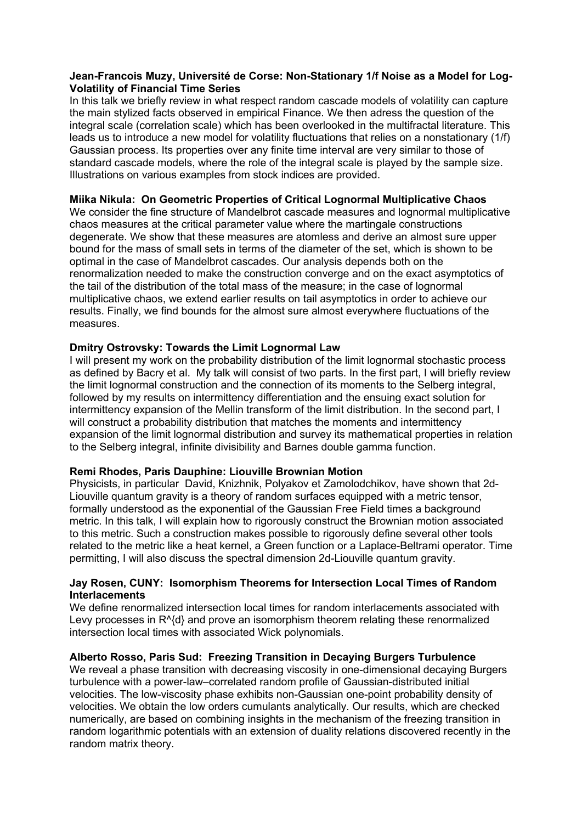## **Jean-Francois Muzy, Université de Corse: Non-Stationary 1/f Noise as a Model for Log-Volatility of Financial Time Series**

In this talk we briefly review in what respect random cascade models of volatility can capture the main stylized facts observed in empirical Finance. We then adress the question of the integral scale (correlation scale) which has been overlooked in the multifractal literature. This leads us to introduce a new model for volatility fluctuations that relies on a nonstationary (1/f) Gaussian process. Its properties over any finite time interval are very similar to those of standard cascade models, where the role of the integral scale is played by the sample size. Illustrations on various examples from stock indices are provided.

## **Miika Nikula: On Geometric Properties of Critical Lognormal Multiplicative Chaos**

We consider the fine structure of Mandelbrot cascade measures and lognormal multiplicative chaos measures at the critical parameter value where the martingale constructions degenerate. We show that these measures are atomless and derive an almost sure upper bound for the mass of small sets in terms of the diameter of the set, which is shown to be optimal in the case of Mandelbrot cascades. Our analysis depends both on the renormalization needed to make the construction converge and on the exact asymptotics of the tail of the distribution of the total mass of the measure; in the case of lognormal multiplicative chaos, we extend earlier results on tail asymptotics in order to achieve our results. Finally, we find bounds for the almost sure almost everywhere fluctuations of the measures.

# **Dmitry Ostrovsky: Towards the Limit Lognormal Law**

I will present my work on the probability distribution of the limit lognormal stochastic process as defined by Bacry et al. My talk will consist of two parts. In the first part, I will briefly review the limit lognormal construction and the connection of its moments to the Selberg integral, followed by my results on intermittency differentiation and the ensuing exact solution for intermittency expansion of the Mellin transform of the limit distribution. In the second part, I will construct a probability distribution that matches the moments and intermittency expansion of the limit lognormal distribution and survey its mathematical properties in relation to the Selberg integral, infinite divisibility and Barnes double gamma function.

## **Remi Rhodes, Paris Dauphine: Liouville Brownian Motion**

Physicists, in particular David, Knizhnik, Polyakov et Zamolodchikov, have shown that 2d-Liouville quantum gravity is a theory of random surfaces equipped with a metric tensor, formally understood as the exponential of the Gaussian Free Field times a background metric. In this talk, I will explain how to rigorously construct the Brownian motion associated to this metric. Such a construction makes possible to rigorously define several other tools related to the metric like a heat kernel, a Green function or a Laplace-Beltrami operator. Time permitting, I will also discuss the spectral dimension 2d-Liouville quantum gravity.

# **Jay Rosen, CUNY: Isomorphism Theorems for Intersection Local Times of Random Interlacements**

We define renormalized intersection local times for random interlacements associated with Levy processes in R^{d} and prove an isomorphism theorem relating these renormalized intersection local times with associated Wick polynomials.

## **Alberto Rosso, Paris Sud: Freezing Transition in Decaying Burgers Turbulence**

We reveal a phase transition with decreasing viscosity in one-dimensional decaying Burgers turbulence with a power-law–correlated random profile of Gaussian-distributed initial velocities. The low-viscosity phase exhibits non-Gaussian one-point probability density of velocities. We obtain the low orders cumulants analytically. Our results, which are checked numerically, are based on combining insights in the mechanism of the freezing transition in random logarithmic potentials with an extension of duality relations discovered recently in the random matrix theory.